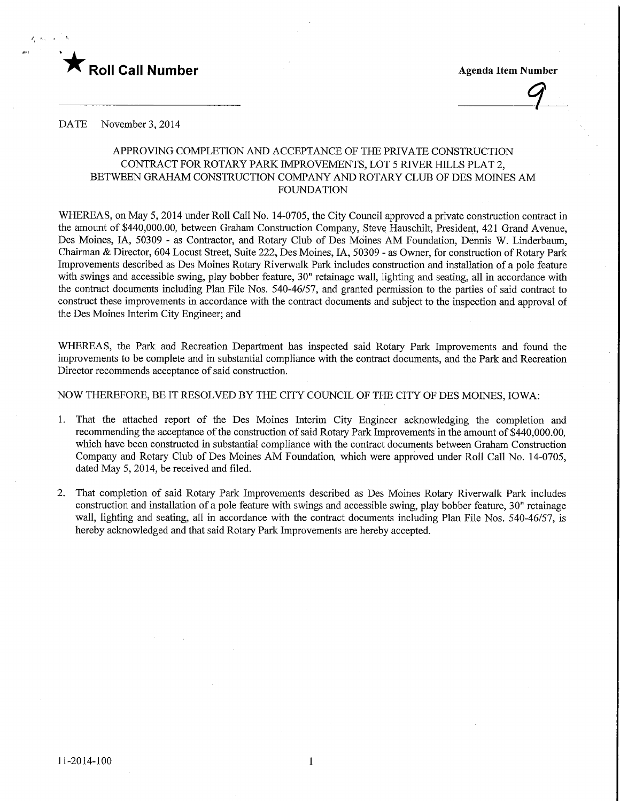

 $\overline{9}$ 

DATE November 3, 2014

# APPROVING COMPLETION AND ACCEPTANCE OF THE PRIVATE CONSTRUCTION CONTRACT FOR ROTARY PARK IMPROVEMENTS, LOT 5 RIVER HILLS PLAT 2, BETWEEN GRAHAM CONSTRUCTION COMPANY AND ROTARY CLUB OF DES MOINES AM FOUNDATION

WHEREAS, on May 5, 2014 under Roll Call No. 14-0705, the City Council approved a private construction contract in the amount of \$440,000.00, between Graham Construction Company, Steve Hauschilt, President, 421 Grand Avenue, Des Moines, IA, 50309 - as Contractor, and Rotary Club of Des Moines AM Foundation, Dennis W. Linderbaum, Chairman & Director, 604 Locust Street, Suite 222, Des Moines, IA, 50309 - as Owner, for construction of Rotary Park Improvements described as Des Moines Rotary Riverwalk Park includes construction and installation of a pole feature with swings and accessible swing, play bobber feature, 30" retainage wall, lighting and seating, all in accordance with the contract documents including Plan File Nos. 540-46/57, and granted permission to the parties of said contract to construct these improvements in accordance with the contract documents and subject to the inspection and approval of the Des Moines Interim City Engineer; and

WHEREAS, the Park and Recreation Department has inspected said Rotary Park Improvements and found the improvements to be complete and in substantial compliance with the contract documents, and the Park and Recreation Director recommends acceptance of said construction.

# NOW THEREFORE, BE IT RESOLVED BY THE CITY COUNCIL OF THE CITY OF DES MOINES, IOWA:

- 1. That the attached report of the Des Moines Interim City Engineer acknowledging the completion and recommending the acceptance of the construction of said Rotary Park Improvements in the amount of \$440,000.00, which have been constructed in substantial compliance with the contract documents between Graham Construction Company and Rotary Club of Des Moines AM Foundation, which were approved under Roll Call No. 14-0705, dated May 5, 2014, be received and filed.
- 2. That completion of said Rotary Park Improvements described as Des Moines Rotary Riverwalk Park includes construction and installation of a pole feature with swings and accessible swing, play bobber feature, 30" retainage wall, lighting and seating, all in accordance with the contract documents including Plan File Nos. 540-46/57, is hereby acknowledged and that said Rotary Park Improvements are hereby accepted.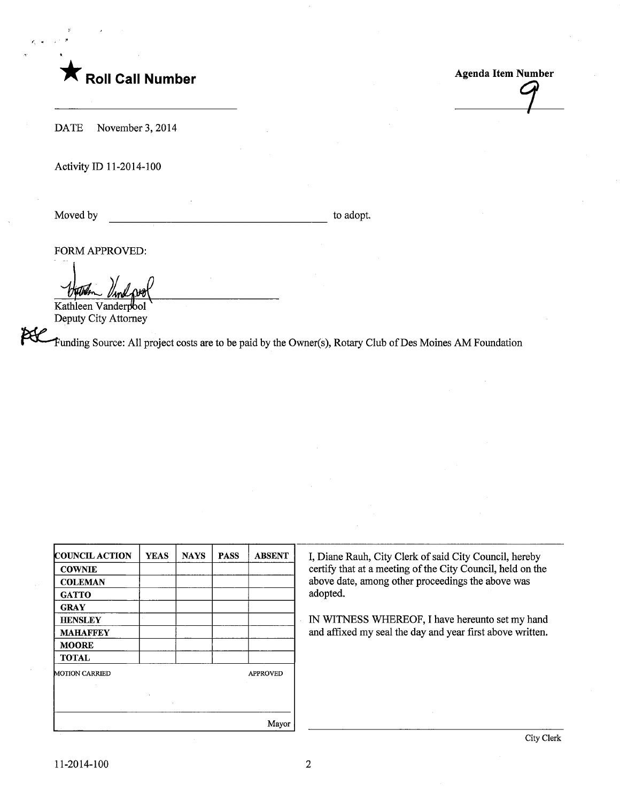

**Agenda Item Number** 

DATE November 3, 2014

Activity ID 11-2014-100

Moved by to adopt.

FORM APPROVED:

Kathleen Vanderpool Deputy City Attorney

Funding Source: All project costs are to be paid by the Owner(s), Rotary Club ofDes Moines AM Foundation

| <b>COUNCIL ACTION</b> | <b>YEAS</b> | <b>NAYS</b> | <b>PASS</b> | <b>ABSENT</b>   |
|-----------------------|-------------|-------------|-------------|-----------------|
| <b>COWNIE</b>         |             |             |             |                 |
| <b>COLEMAN</b>        |             |             |             |                 |
| <b>GATTO</b>          |             |             |             |                 |
| <b>GRAY</b>           |             |             |             |                 |
| <b>HENSLEY</b>        |             |             |             |                 |
| <b>MAHAFFEY</b>       |             |             |             |                 |
| <b>MOORE</b>          |             |             |             |                 |
| <b>TOTAL</b>          |             |             |             |                 |
| <b>MOTION CARRIED</b> |             |             |             | <b>APPROVED</b> |
|                       |             |             |             |                 |
|                       | $\epsilon$  |             |             |                 |
|                       |             |             |             |                 |
|                       |             |             |             | Mayor           |

I, Diane Rauh, City Clerk of said City Council, hereby certify that at a meeting of the City Council, held on the above date, among other proceedings the above was adopted.

IN WITNESS WHEREOF, I have hereunto set my hand and affixed my seal the day and year first above written.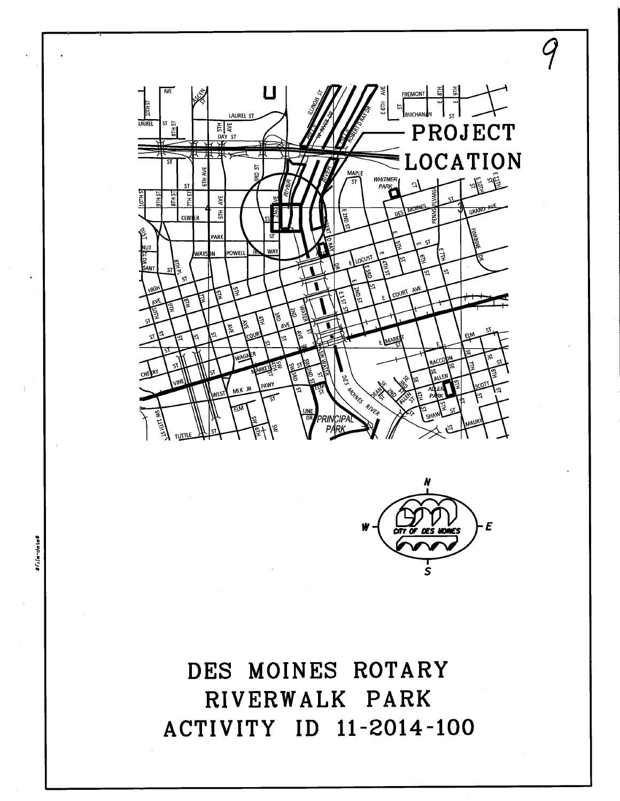



9

DES MOINES ROTARY RIVERWALK PARK ACTIVITY ID 11-2014-100

sf<sub>ile</sub>-dates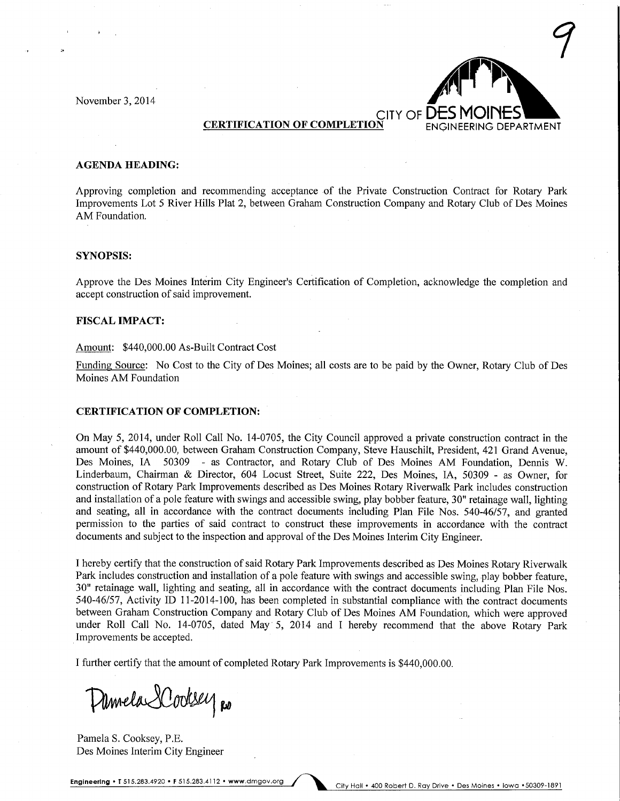November 3, 2014



## AGENDA HEADING:

Approving completion and recommending acceptance of the Private Construction Contract for Rotary Park Improvements Lot 5 River Hills Plat 2, between Graham Construction Company and Rotary Club of Des Moines AM Foundation.

## SYNOPSIS:

Approve the Des Moines Interim City Engineer's Certification of Completion, acknowledge the completion and accept construction of said improvement.

## FISCAL IMPACT:

#### Amount: \$440,000.00 As-Built Contract Cost

Funding Source: No Cost to the City of Des Moines; all costs are to be paid by the Owner, Rotary Club of Des Moines AM Foundation

## CERTIFICATION OF COMPLETION:

On May 5, 2014, under Roll Call No. 14-0705, the City Council approved a private construction contract in the amount of \$440,000.00, between Graham Construction Company, Steve Hauschilt, President, 421 Grand Avenue, Des Moines, IA 50309 - as Contractor, and Rotary Club of Des Moines AM Foundation, Dennis W. Linderbaum, Chairman & Director, 604 Locust Street, Suite 222, Des Moines, IA, 50309 - as Owner, for construction of Rotary Park Improvements described as Des Moines Rotary Rivenvalk Park includes construction and installation of a pole feature with swings and accessible swing, play bobber feature, 30" retainage wall, lighting and seating, all in accordance with the contract documents including Plan File Nos. 540-46/57, and granted permission to the parties of said contract to construct these improvements in accordance with the contract documents and subject to the inspection and approval of the Des Moines Interim City Engineer.

I hereby certify that the construction of said Rotary Park Improvements described as Des Moines Rotary Riverwalk Park includes construction and installation of a pole feature with swings and accessible swing, play bobber feature, 30" retainage wall, lighting and seating, all in accordance with the contract documents including Plan File Nos. 540-46/57, Activity ID 11-2014-100, has been completed in substantial compliance with the contract documents between Graham Construction Company and Rotary Club of Des Moines AM Foundation, which were approved under Roll Call No. 14-0705, dated May 5, 2014 and I hereby recommend that the above Rotary Park Improvements be accepted.

I further certify that the amount of completed Rotary Park Improvements is \$440,000.00.

Damela Lodsey Ro

Pamela S. Cooksey, P.E. Des Moines Interim City Engineer